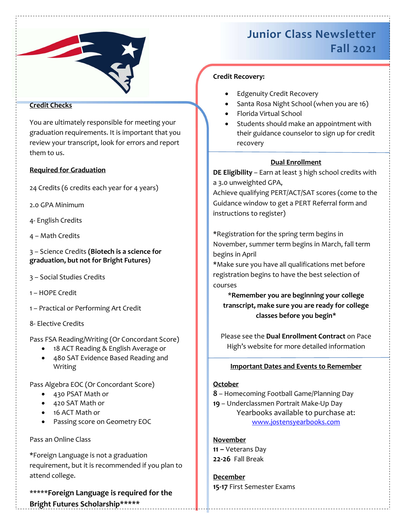

## Credit Checks

You are ultimately responsible for meeting your graduation requirements. It is important that you review your transcript, look for errors and report them to us.

#### Required for Graduation

24 Credits (6 credits each year for 4 years)

2.0 GPA Minimum

- 4- English Credits
- 4 Math Credits

3 – Science Credits (Biotech is a science for graduation, but not for Bright Futures)

- 3 Social Studies Credits
- 1 HOPE Credit
- 1 Practical or Performing Art Credit
- 8- Elective Credits

Pass FSA Reading/Writing (Or Concordant Score)

- 18 ACT Reading & English Average or
- 480 SAT Evidence Based Reading and Writing

Pass Algebra EOC (Or Concordant Score)

- 430 PSAT Math or
- 420 SAT Math or
- 16 ACT Math or
- Passing score on Geometry EOC

## Pass an Online Class

\*Foreign Language is not a graduation requirement, but it is recommended if you plan to attend college.

\*\*\*\*\*Foreign Language is required for the Bright Futures Scholarship\*\*\*\*\*

# Junior Class Newsletter Fall 2021

## Credit Recovery:

- Edgenuity Credit Recovery
- Santa Rosa Night School (when you are 16)
- Florida Virtual School
- Students should make an appointment with their guidance counselor to sign up for credit recovery

## Dual Enrollment

DE Eligibility - Earn at least 3 high school credits with a 3.0 unweighted GPA,

Achieve qualifying PERT/ACT/SAT scores (come to the Guidance window to get a PERT Referral form and instructions to register)

\*Registration for the spring term begins in November, summer term begins in March, fall term begins in April

\*Make sure you have all qualifications met before registration begins to have the best selection of courses

\*Remember you are beginning your college transcript, make sure you are ready for college classes before you begin\*

Please see the Dual Enrollment Contract on Pace High's website for more detailed information

## Important Dates and Events to Remember

## **October**

- 8 Homecoming Football Game/Planning Day
- 19 Underclassmen Portrait Make-Up Day Yearbooks available to purchase at:

www.jostensyearbooks.com

**November** 11 – Veterans Day 22-26 Fall Break

December 15-17 First Semester Exams